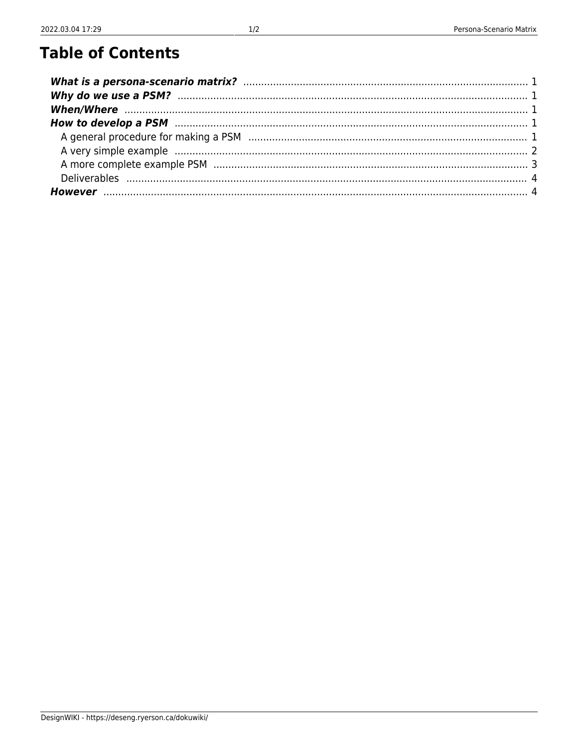## **Table of Contents**

| How to develop a PSM manufactured and the control of the PSM develop a PSM manufactured and the control of the |  |
|----------------------------------------------------------------------------------------------------------------|--|
|                                                                                                                |  |
|                                                                                                                |  |
|                                                                                                                |  |
|                                                                                                                |  |
|                                                                                                                |  |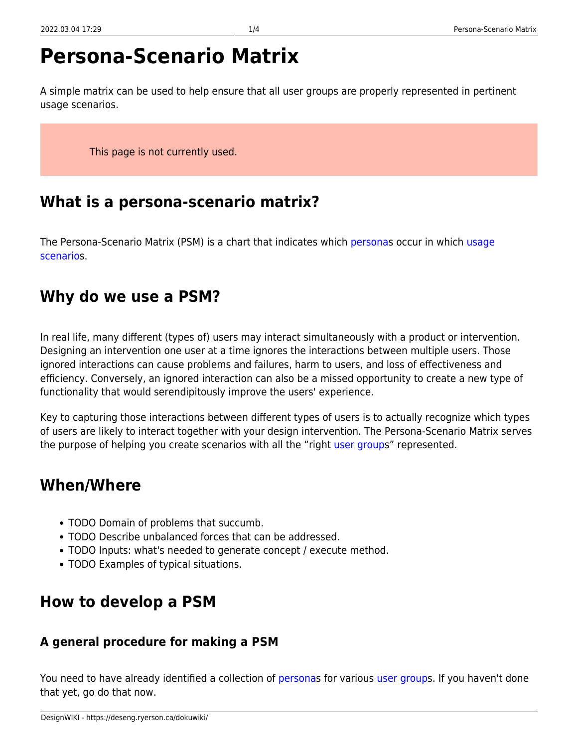# **Persona-Scenario Matrix**

A simple matrix can be used to help ensure that all user groups are properly represented in pertinent usage scenarios.

This page is not currently used.

## <span id="page-2-0"></span>**What is a persona-scenario matrix?**

The Persona-Scenario Matrix (PSM) is a chart that indicates which [personas](https://deseng.ryerson.ca/dokuwiki/design:persona) occur in which [usage](https://deseng.ryerson.ca/dokuwiki/design:usage_scenario) [scenario](https://deseng.ryerson.ca/dokuwiki/design:usage_scenario)s.

## <span id="page-2-1"></span>**Why do we use a PSM?**

In real life, many different (types of) users may interact simultaneously with a product or intervention. Designing an intervention one user at a time ignores the interactions between multiple users. Those ignored interactions can cause problems and failures, harm to users, and loss of effectiveness and efficiency. Conversely, an ignored interaction can also be a missed opportunity to create a new type of functionality that would serendipitously improve the users' experience.

Key to capturing those interactions between different types of users is to actually recognize which types of users are likely to interact together with your design intervention. The Persona-Scenario Matrix serves the purpose of helping you create scenarios with all the "right [user groups](https://deseng.ryerson.ca/dokuwiki/design:user_group)" represented.

## <span id="page-2-2"></span>**When/Where**

- TODO Domain of problems that succumb.
- TODO Describe unbalanced forces that can be addressed.
- TODO Inputs: what's needed to generate concept / execute method.
- TODO Examples of typical situations.

## <span id="page-2-3"></span>**How to develop a PSM**

#### <span id="page-2-4"></span>**A general procedure for making a PSM**

You need to have already identified a collection of [persona](https://deseng.ryerson.ca/dokuwiki/design:persona)s for various [user group](https://deseng.ryerson.ca/dokuwiki/design:user_group)s. If you haven't done that yet, go do that now.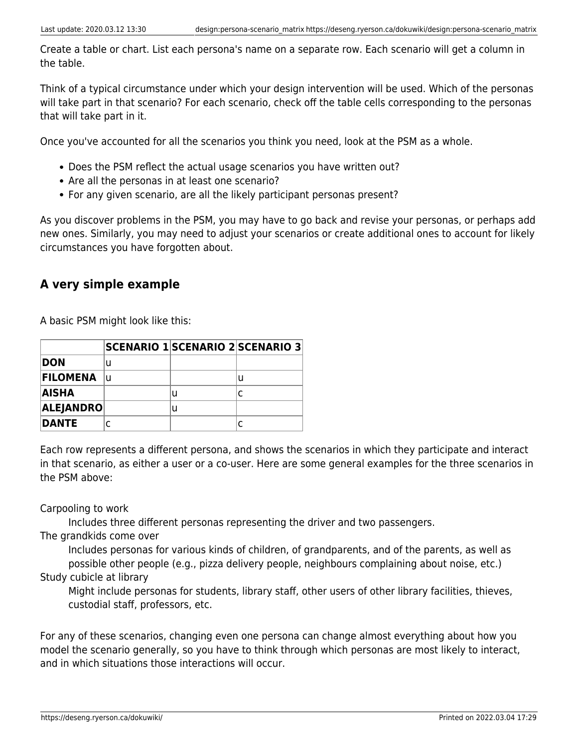Create a table or chart. List each persona's name on a separate row. Each scenario will get a column in the table.

Think of a typical circumstance under which your design intervention will be used. Which of the personas will take part in that scenario? For each scenario, check off the table cells corresponding to the personas that will take part in it.

Once you've accounted for all the scenarios you think you need, look at the PSM as a whole.

- Does the PSM reflect the actual usage scenarios you have written out?
- Are all the personas in at least one scenario?
- For any given scenario, are all the likely participant personas present?

As you discover problems in the PSM, you may have to go back and revise your personas, or perhaps add new ones. Similarly, you may need to adjust your scenarios or create additional ones to account for likely circumstances you have forgotten about.

#### <span id="page-3-0"></span>**A very simple example**

A basic PSM might look like this:

|                 | <b>SCENARIO 1 SCENARIO 2 SCENARIO 3</b> |   |   |
|-----------------|-----------------------------------------|---|---|
| <b>DON</b>      |                                         |   |   |
| <b>FILOMENA</b> | u                                       |   | u |
| AISHA           |                                         | U |   |
| ALEJANDRO       |                                         | u |   |
| DANTE           |                                         |   |   |

Each row represents a different persona, and shows the scenarios in which they participate and interact in that scenario, as either a user or a co-user. Here are some general examples for the three scenarios in the PSM above:

Carpooling to work

Includes three different personas representing the driver and two passengers.

The grandkids come over

Includes personas for various kinds of children, of grandparents, and of the parents, as well as possible other people (e.g., pizza delivery people, neighbours complaining about noise, etc.) Study cubicle at library

Might include personas for students, library staff, other users of other library facilities, thieves, custodial staff, professors, etc.

For any of these scenarios, changing even one persona can change almost everything about how you model the scenario generally, so you have to think through which personas are most likely to interact, and in which situations those interactions will occur.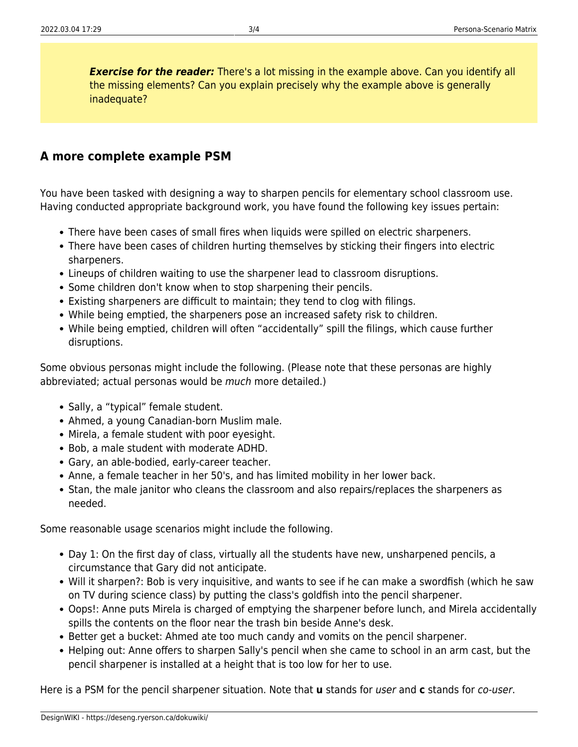**Exercise for the reader:** There's a lot missing in the example above. Can you identify all the missing elements? Can you explain precisely why the example above is generally inadequate?

#### <span id="page-4-0"></span>**A more complete example PSM**

You have been tasked with designing a way to sharpen pencils for elementary school classroom use. Having conducted appropriate background work, you have found the following key issues pertain:

- There have been cases of small fires when liquids were spilled on electric sharpeners.
- There have been cases of children hurting themselves by sticking their fingers into electric sharpeners.
- Lineups of children waiting to use the sharpener lead to classroom disruptions.
- Some children don't know when to stop sharpening their pencils.
- Existing sharpeners are difficult to maintain; they tend to clog with filings.
- While being emptied, the sharpeners pose an increased safety risk to children.
- While being emptied, children will often "accidentally" spill the filings, which cause further disruptions.

Some obvious personas might include the following. (Please note that these personas are highly abbreviated; actual personas would be much more detailed.)

- Sally, a "typical" female student.
- Ahmed, a young Canadian-born Muslim male.
- Mirela, a female student with poor eyesight.
- Bob, a male student with moderate ADHD.
- Gary, an able-bodied, early-career teacher.
- Anne, a female teacher in her 50's, and has limited mobility in her lower back.
- Stan, the male janitor who cleans the classroom and also repairs/replaces the sharpeners as needed.

Some reasonable usage scenarios might include the following.

- Day 1: On the first day of class, virtually all the students have new, unsharpened pencils, a circumstance that Gary did not anticipate.
- Will it sharpen?: Bob is very inquisitive, and wants to see if he can make a swordfish (which he saw on TV during science class) by putting the class's goldfish into the pencil sharpener.
- Oops!: Anne puts Mirela is charged of emptying the sharpener before lunch, and Mirela accidentally spills the contents on the floor near the trash bin beside Anne's desk.
- Better get a bucket: Ahmed ate too much candy and vomits on the pencil sharpener.
- Helping out: Anne offers to sharpen Sally's pencil when she came to school in an arm cast, but the pencil sharpener is installed at a height that is too low for her to use.

Here is a PSM for the pencil sharpener situation. Note that **u** stands for user and **c** stands for co-user.